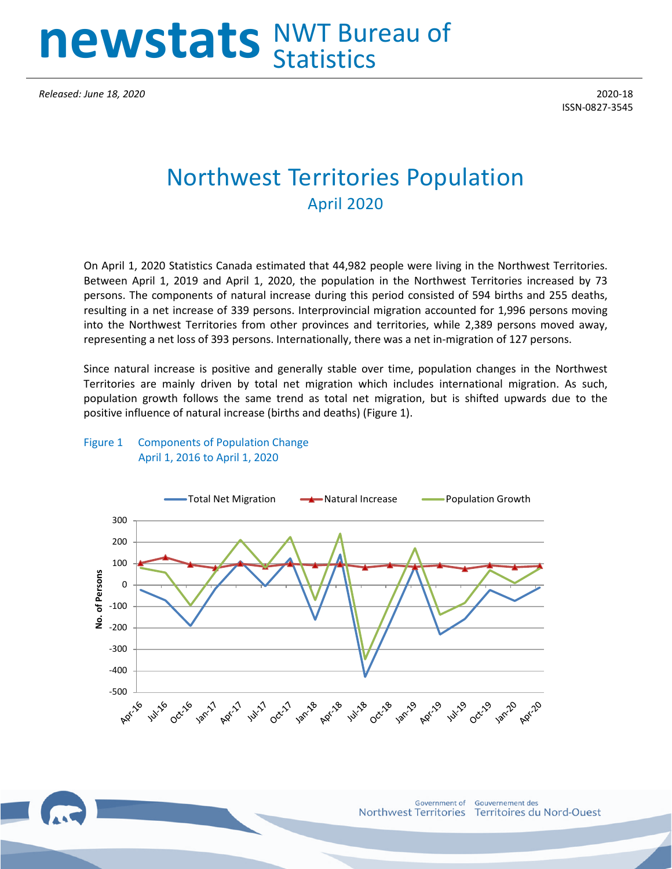# **newstats** NWT Bureau of **Statistics**

*Released: June 18, 2020* 2020-18

ISSN-0827-3545

## Northwest Territories Population April 2020

On April 1, 2020 Statistics Canada estimated that 44,982 people were living in the Northwest Territories. Between April 1, 2019 and April 1, 2020, the population in the Northwest Territories increased by 73 persons. The components of natural increase during this period consisted of 594 births and 255 deaths, resulting in a net increase of 339 persons. Interprovincial migration accounted for 1,996 persons moving into the Northwest Territories from other provinces and territories, while 2,389 persons moved away, representing a net loss of 393 persons. Internationally, there was a net in-migration of 127 persons.

Since natural increase is positive and generally stable over time, population changes in the Northwest Territories are mainly driven by total net migration which includes international migration. As such, population growth follows the same trend as total net migration, but is shifted upwards due to the positive influence of natural increase (births and deaths) (Figure 1).

#### Figure 1 Components of Population Change April 1, 2016 to April 1, 2020



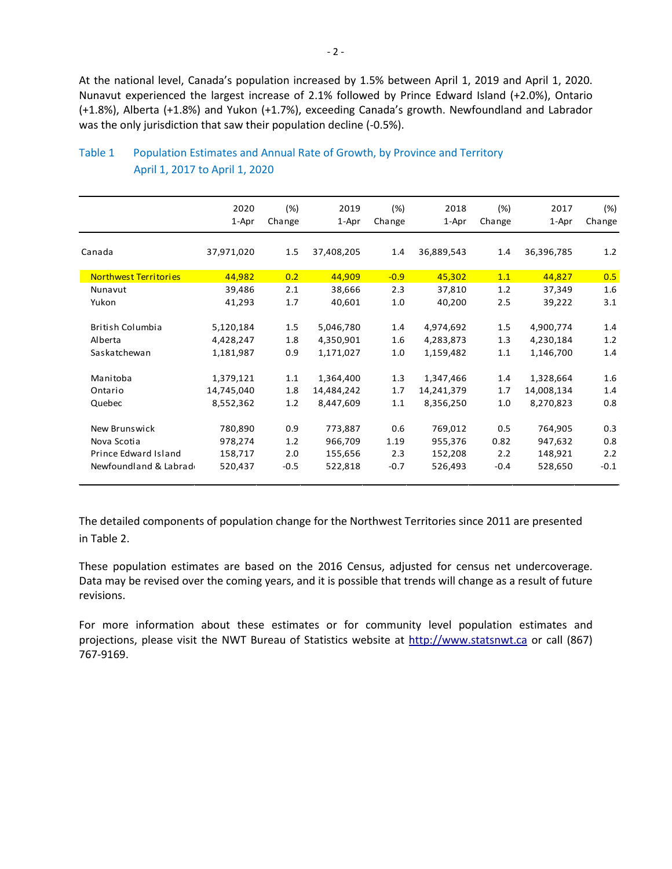At the national level, Canada's population increased by 1.5% between April 1, 2019 and April 1, 2020. Nunavut experienced the largest increase of 2.1% followed by Prince Edward Island (+2.0%), Ontario (+1.8%), Alberta (+1.8%) and Yukon (+1.7%), exceeding Canada's growth. Newfoundland and Labrador was the only jurisdiction that saw their population decline (-0.5%).

|                              | 2020       | (%)    | 2019       | (%)    | 2018       | (%)    | 2017       | $(\%)$ |
|------------------------------|------------|--------|------------|--------|------------|--------|------------|--------|
|                              | 1-Apr      | Change | 1-Apr      | Change | 1-Apr      | Change | 1-Apr      | Change |
| Canada                       | 37,971,020 | 1.5    | 37,408,205 | 1.4    | 36,889,543 | 1.4    | 36,396,785 | 1.2    |
| <b>Northwest Territories</b> | 44,982     | 0.2    | 44,909     | $-0.9$ | 45,302     | 1.1    | 44,827     | 0.5    |
| Nunavut                      | 39,486     | 2.1    | 38,666     | 2.3    | 37,810     | 1.2    | 37,349     | 1.6    |
| Yukon                        | 41,293     | 1.7    | 40,601     | 1.0    | 40,200     | 2.5    | 39,222     | 3.1    |
| British Columbia             | 5,120,184  | 1.5    | 5,046,780  | 1.4    | 4,974,692  | 1.5    | 4,900,774  | 1.4    |
| <b>Alberta</b>               | 4,428,247  | 1.8    | 4,350,901  | 1.6    | 4,283,873  | 1.3    | 4,230,184  | 1.2    |
| Saskatchewan                 | 1,181,987  | 0.9    | 1,171,027  | 1.0    | 1,159,482  | 1.1    | 1,146,700  | 1.4    |
| Manitoba                     | 1,379,121  | 1.1    | 1,364,400  | 1.3    | 1,347,466  | 1.4    | 1,328,664  | 1.6    |
| Ontario                      | 14,745,040 | 1.8    | 14,484,242 | 1.7    | 14,241,379 | 1.7    | 14,008,134 | 1.4    |
| Quebec                       | 8,552,362  | 1.2    | 8,447,609  | 1.1    | 8,356,250  | 1.0    | 8,270,823  | 0.8    |
| New Brunswick                | 780,890    | 0.9    | 773,887    | 0.6    | 769,012    | 0.5    | 764,905    | 0.3    |
| Nova Scotia                  | 978,274    | 1.2    | 966,709    | 1.19   | 955,376    | 0.82   | 947,632    | 0.8    |
| Prince Edward Island         | 158,717    | 2.0    | 155,656    | 2.3    | 152,208    | 2.2    | 148,921    | 2.2    |
| Newfoundland & Labrad        | 520,437    | $-0.5$ | 522,818    | $-0.7$ | 526,493    | $-0.4$ | 528,650    | $-0.1$ |

### Table 1 Population Estimates and Annual Rate of Growth, by Province and Territory April 1, 2017 to April 1, 2020

The detailed components of population change for the Northwest Territories since 2011 are presented in Table 2.

These population estimates are based on the 2016 Census, adjusted for census net undercoverage. Data may be revised over the coming years, and it is possible that trends will change as a result of future revisions.

For more information about these estimates or for community level population estimates and projections, please visit the NWT Bureau of Statistics website at http://www.statsnwt.ca or call (867) 767-9169.